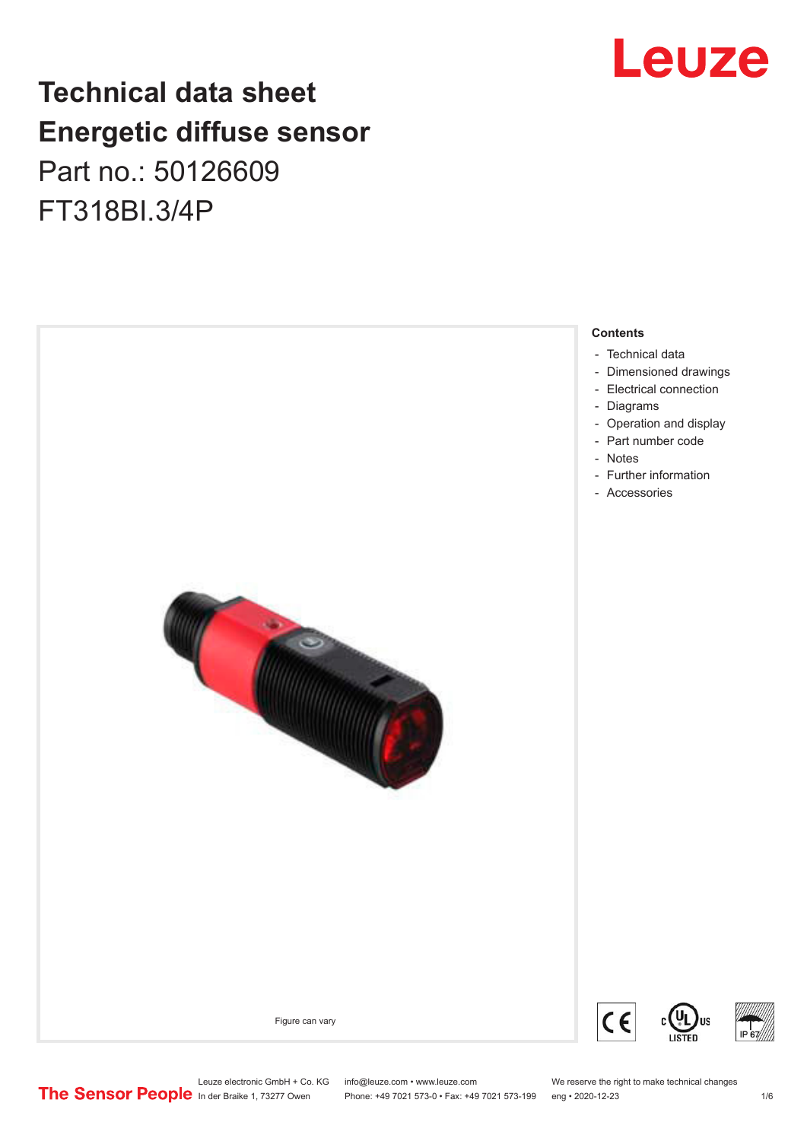## **Technical data sheet Energetic diffuse sensor** Part no.: 50126609

FT318BI.3/4P





Leuze electronic GmbH + Co. KG info@leuze.com • www.leuze.com We reserve the right to make technical changes<br>
The Sensor People in der Braike 1, 73277 Owen Phone: +49 7021 573-0 • Fax: +49 7021 573-199 eng • 2020-12-23

Phone: +49 7021 573-0 • Fax: +49 7021 573-199 eng • 2020-12-23 1 /6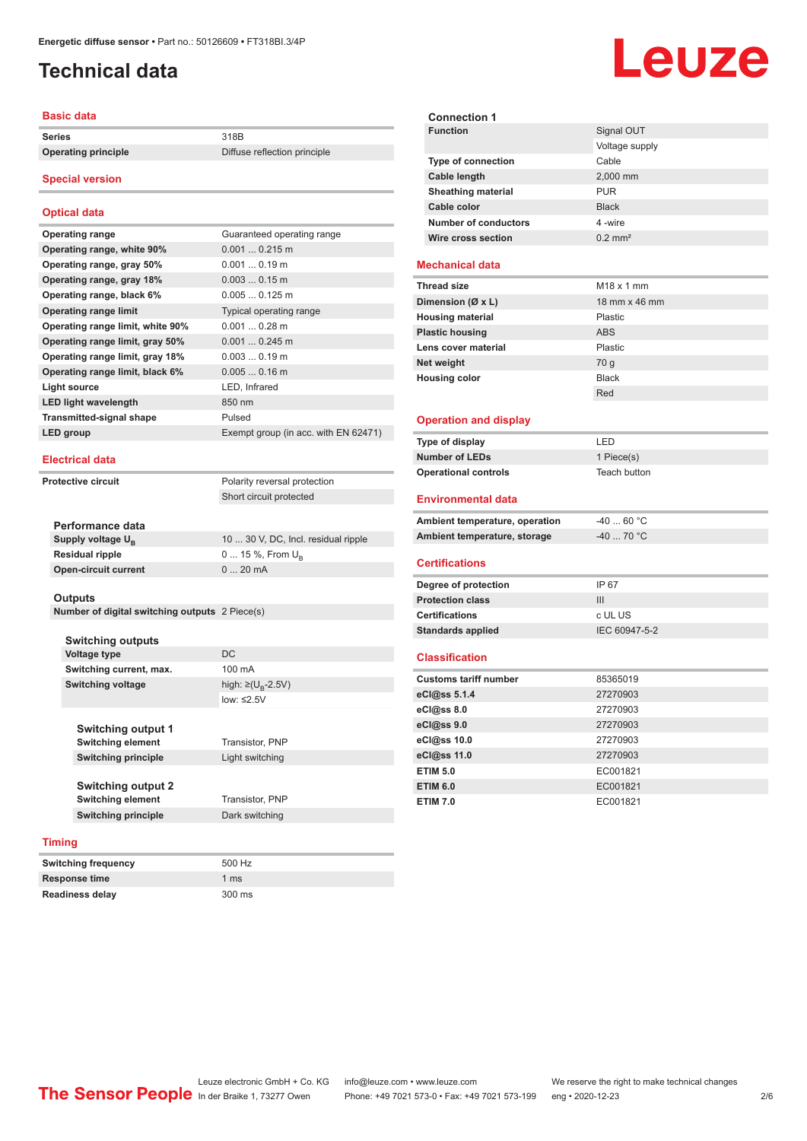## <span id="page-1-0"></span>**Technical data**

#### **Basic data**

**Series** 318B

**Operating principle** Diffuse reflection principle

#### **Special version**

#### **Optical data**

| <b>Operating range</b>           | Guaranteed operating range           |
|----------------------------------|--------------------------------------|
| Operating range, white 90%       | $0.0010.215$ m                       |
| Operating range, gray 50%        | $0.0010.19$ m                        |
| Operating range, gray 18%        | $0.0030.15$ m                        |
| Operating range, black 6%        | $0.0050.125$ m                       |
| <b>Operating range limit</b>     | Typical operating range              |
| Operating range limit, white 90% | $0.0010.28$ m                        |
| Operating range limit, gray 50%  | $0.0010.245$ m                       |
| Operating range limit, gray 18%  | $0.0030.19$ m                        |
| Operating range limit, black 6%  | $0.0050.16$ m                        |
| Light source                     | LED, Infrared                        |
| <b>LED light wavelength</b>      | 850 nm                               |
| <b>Transmitted-signal shape</b>  | Pulsed                               |
| LED group                        | Exempt group (in acc. with EN 62471) |
|                                  |                                      |

#### **Electrical data**

**Protective circuit** 

| Polarity reversal protection |  |
|------------------------------|--|
| Short circuit protected      |  |

| Performance data              |                                     |
|-------------------------------|-------------------------------------|
| Supply voltage U <sub>p</sub> | 10  30 V, DC, Incl. residual ripple |
| <b>Residual ripple</b>        | $0 15 \%$ , From $U_{p}$            |
| Open-circuit current          | $020$ mA                            |
|                               |                                     |

#### **Outputs**

**Number of digital switching outputs** 2 Piece(s)

#### **Switching outputs Voltage type** DC **Switching current, max.** 100 mA

**Switching voltage** 

high:  $\geq$ (U<sub>p</sub>-2.5V) low: ≤2.5V

**Switching element** Transistor, PNP

**Switching output 1 Switching element** Transistor, PNP **Switching principle** Light switching

| <b>Switching output 2</b>  |                        |
|----------------------------|------------------------|
| Switching element          | <b>Transistor, PNF</b> |
| <b>Switching principle</b> | Dark switching         |

#### **Timing**

| Switching frequency  | 500 Hz          |
|----------------------|-----------------|
| <b>Response time</b> | 1 <sub>ms</sub> |
| Readiness delay      | 300 ms          |



| <b>Connection 1</b>            |                       |
|--------------------------------|-----------------------|
| <b>Function</b>                | Signal OUT            |
|                                | Voltage supply        |
| Type of connection             | Cable                 |
| Cable length                   | 2,000 mm              |
| <b>Sheathing material</b>      | <b>PUR</b>            |
| Cable color                    | <b>Black</b>          |
| <b>Number of conductors</b>    | 4-wire                |
| Wire cross section             | $0.2$ mm <sup>2</sup> |
|                                |                       |
| <b>Mechanical data</b>         |                       |
| <b>Thread size</b>             | $M18 \times 1$ mm     |
| Dimension (Ø x L)              | 18 mm x 46 mm         |
| <b>Housing material</b>        | Plastic               |
| <b>Plastic housing</b>         | <b>ABS</b>            |
| Lens cover material            | Plastic               |
| Net weight                     | 70 g                  |
| <b>Housing color</b>           | <b>Black</b>          |
|                                | Red                   |
|                                |                       |
| <b>Operation and display</b>   |                       |
| Type of display                | LED                   |
| <b>Number of LEDs</b>          | 1 Piece(s)            |
| <b>Operational controls</b>    | Teach button          |
| <b>Environmental data</b>      |                       |
| Ambient temperature, operation | $-40$ 60 °C           |
| Ambient temperature, storage   | -40  70 °C            |
|                                |                       |
| <b>Certifications</b>          |                       |
| Degree of protection           | IP 67                 |
| <b>Protection class</b>        | III                   |
| <b>Certifications</b>          | c UL US               |
| <b>Standards applied</b>       | IEC 60947-5-2         |
| <b>Classification</b>          |                       |
| <b>Customs tariff number</b>   | 85365019              |
| eCl@ss 5.1.4                   | 27270903              |
| eCl@ss 8.0                     | 27270903              |
| eCl@ss 9.0                     | 27270903              |
| eCl@ss 10.0                    | 27270903              |
|                                | 27270903              |
|                                |                       |
| eCl@ss 11.0                    |                       |
| <b>ETIM 5.0</b>                | EC001821              |
| <b>ETIM 6.0</b>                | EC001821              |
| <b>ETIM 7.0</b>                | EC001821              |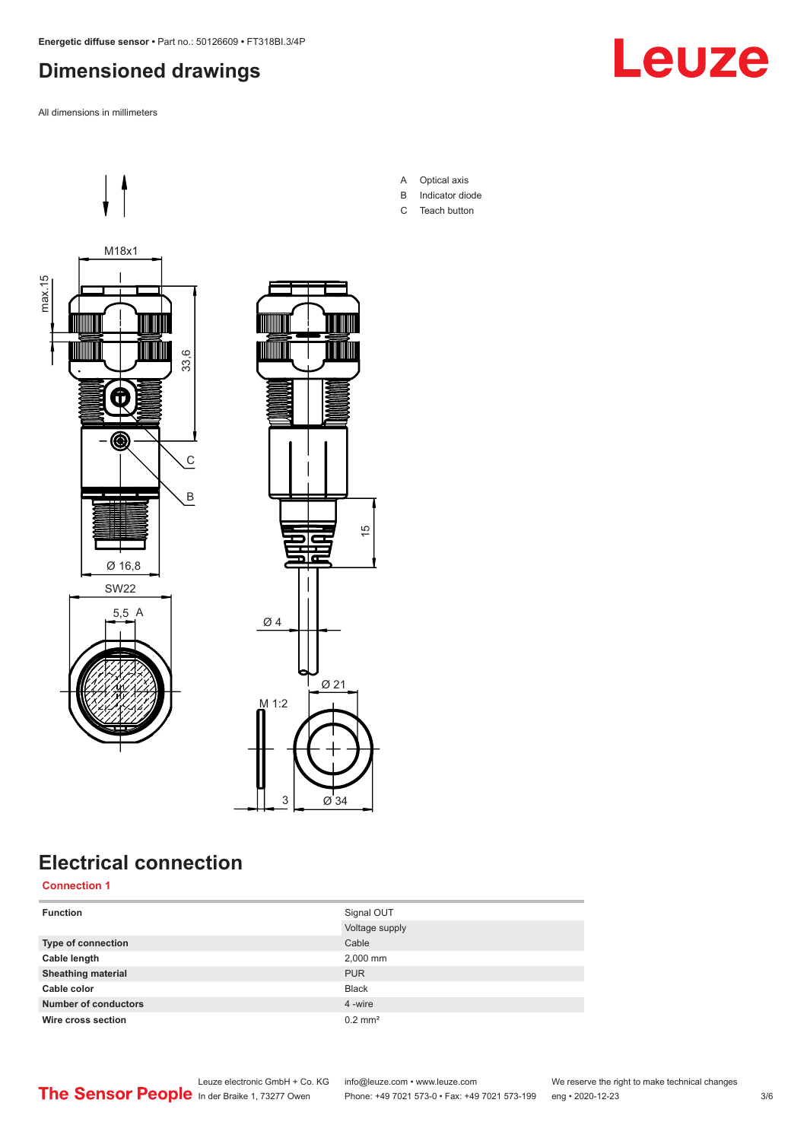## <span id="page-2-0"></span>**Dimensioned drawings**

All dimensions in millimeters





## **Electrical connection**

**Connection 1**

| <b>Function</b>             | Signal OUT            |
|-----------------------------|-----------------------|
|                             | Voltage supply        |
| <b>Type of connection</b>   | Cable                 |
| Cable length                | 2,000 mm              |
| <b>Sheathing material</b>   | <b>PUR</b>            |
| Cable color                 | <b>Black</b>          |
| <b>Number of conductors</b> | 4 -wire               |
| Wire cross section          | $0.2$ mm <sup>2</sup> |

A Optical axis B Indicator diode

15

C Teach button

Leuze electronic GmbH + Co. KG info@leuze.com • www.leuze.com We reserve the right to make technical changes In der Braike 1, 73277 Owen Phone: +49 7021 573-0 • Fax: +49 7021 573-199 eng • 2020-12-23 3/6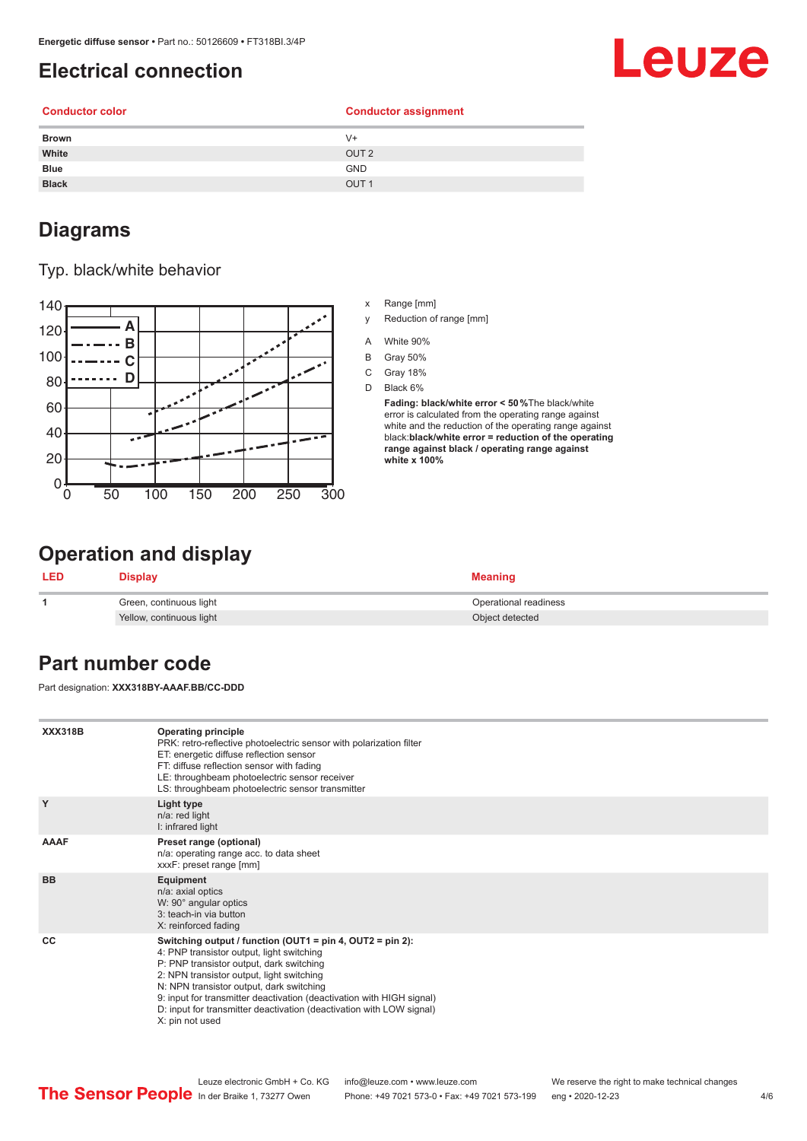## <span id="page-3-0"></span>**Electrical connection**

# Leuze

**Conductor color Conductor assignment**

| <b>Brown</b> | $V +$            |
|--------------|------------------|
| White        | OUT <sub>2</sub> |
| Blue         | <b>GND</b>       |
| <b>Black</b> | OUT <sub>1</sub> |
|              |                  |

## **Diagrams**

#### Typ. black/white behavior



- x Range [mm]
- y Reduction of range [mm]
- A White 90%
- B Gray 50%
- C Gray 18%
- D Black 6%

**Fading: black/white error < 50 %**The black/white error is calculated from the operating range against white and the reduction of the operating range against black:**black/white error = reduction of the operating range against black / operating range against white x 100%**

## **Operation and display**

| <b>LED</b> | Display                  | <b>Meaning</b>        |
|------------|--------------------------|-----------------------|
|            | Green, continuous light  | Operational readiness |
|            | Yellow, continuous light | Object detected       |

## **Part number code**

Part designation: **XXX318BY-AAAF.BB/CC-DDD**

| <b>XXX318B</b> | <b>Operating principle</b><br>PRK: retro-reflective photoelectric sensor with polarization filter<br>ET: energetic diffuse reflection sensor<br>FT: diffuse reflection sensor with fading<br>LE: throughbeam photoelectric sensor receiver<br>LS: throughbeam photoelectric sensor transmitter                                                                                                                  |
|----------------|-----------------------------------------------------------------------------------------------------------------------------------------------------------------------------------------------------------------------------------------------------------------------------------------------------------------------------------------------------------------------------------------------------------------|
| Y              | Light type<br>n/a: red light<br>I: infrared light                                                                                                                                                                                                                                                                                                                                                               |
| <b>AAAF</b>    | Preset range (optional)<br>n/a: operating range acc. to data sheet<br>xxxF: preset range [mm]                                                                                                                                                                                                                                                                                                                   |
| <b>BB</b>      | Equipment<br>n/a: axial optics<br>W: 90° angular optics<br>3: teach-in via button<br>X: reinforced fading                                                                                                                                                                                                                                                                                                       |
| CC             | Switching output / function (OUT1 = pin 4, OUT2 = pin 2):<br>4: PNP transistor output, light switching<br>P: PNP transistor output, dark switching<br>2: NPN transistor output, light switching<br>N: NPN transistor output, dark switching<br>9: input for transmitter deactivation (deactivation with HIGH signal)<br>D: input for transmitter deactivation (deactivation with LOW signal)<br>X: pin not used |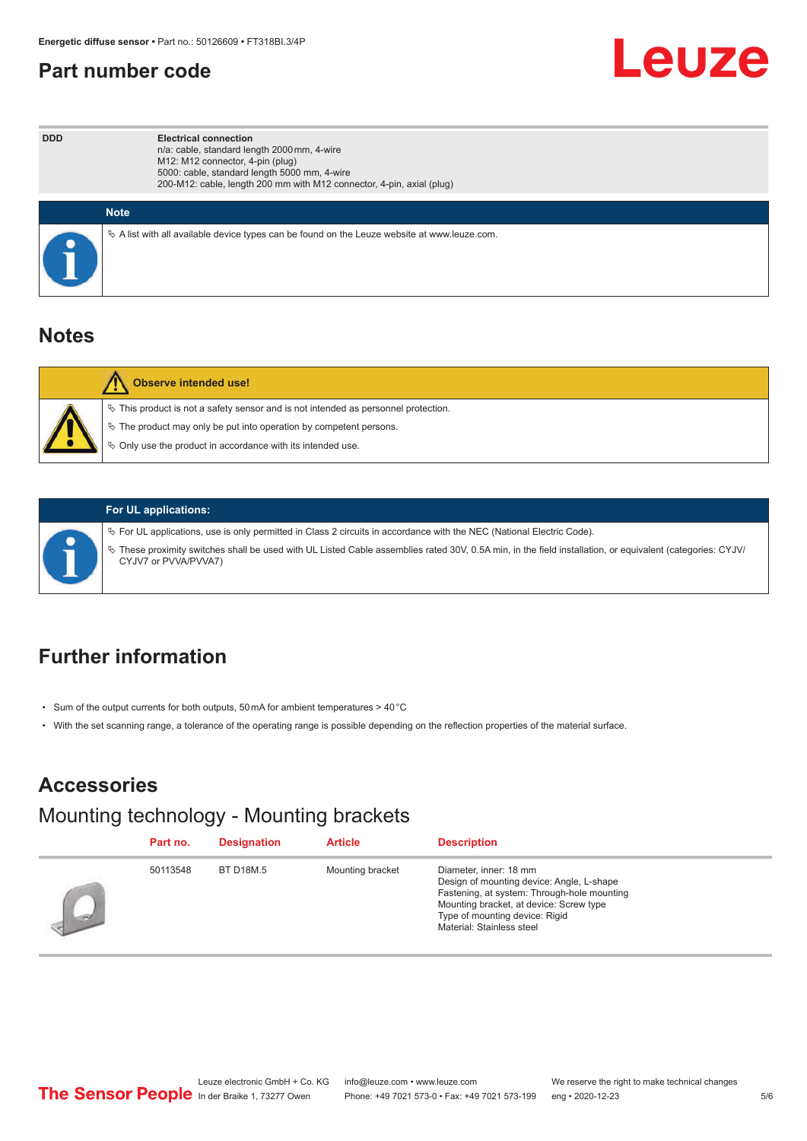#### <span id="page-4-0"></span>**Part number code**



| <b>DDD</b><br><b>Electrical connection</b><br>n/a: cable, standard length 2000 mm, 4-wire<br>M12: M12 connector, 4-pin (plug)<br>5000: cable, standard length 5000 mm, 4-wire<br>200-M12: cable, length 200 mm with M12 connector, 4-pin, axial (plug) |                                                                                                 |
|--------------------------------------------------------------------------------------------------------------------------------------------------------------------------------------------------------------------------------------------------------|-------------------------------------------------------------------------------------------------|
|                                                                                                                                                                                                                                                        | <b>Note</b>                                                                                     |
|                                                                                                                                                                                                                                                        | $\&$ A list with all available device types can be found on the Leuze website at www.leuze.com. |

#### **Notes**

| <b>Observe intended use!</b>                                                                                                                                                                                                     |
|----------------------------------------------------------------------------------------------------------------------------------------------------------------------------------------------------------------------------------|
| $\%$ This product is not a safety sensor and is not intended as personnel protection.<br>$\&$ The product may only be put into operation by competent persons.<br>$\%$ Only use the product in accordance with its intended use. |

#### **For UL applications:**

ª For UL applications, use is only permitted in Class 2 circuits in accordance with the NEC (National Electric Code).

ª These proximity switches shall be used with UL Listed Cable assemblies rated 30V, 0.5A min, in the field installation, or equivalent (categories: CYJV/ CYJV7 or PVVA/PVVA7)

## **Further information**

- Sum of the output currents for both outputs, 50 mA for ambient temperatures > 40 °C
- With the set scanning range, a tolerance of the operating range is possible depending on the reflection properties of the material surface.

## **Accessories**

#### Mounting technology - Mounting brackets

|      | Part no. | <b>Designation</b> | <b>Article</b>   | <b>Description</b>                                                                                                                                                                                                           |
|------|----------|--------------------|------------------|------------------------------------------------------------------------------------------------------------------------------------------------------------------------------------------------------------------------------|
| ind. | 50113548 | <b>BT D18M.5</b>   | Mounting bracket | Diameter, inner: 18 mm<br>Design of mounting device: Angle, L-shape<br>Fastening, at system: Through-hole mounting<br>Mounting bracket, at device: Screw type<br>Type of mounting device: Rigid<br>Material: Stainless steel |